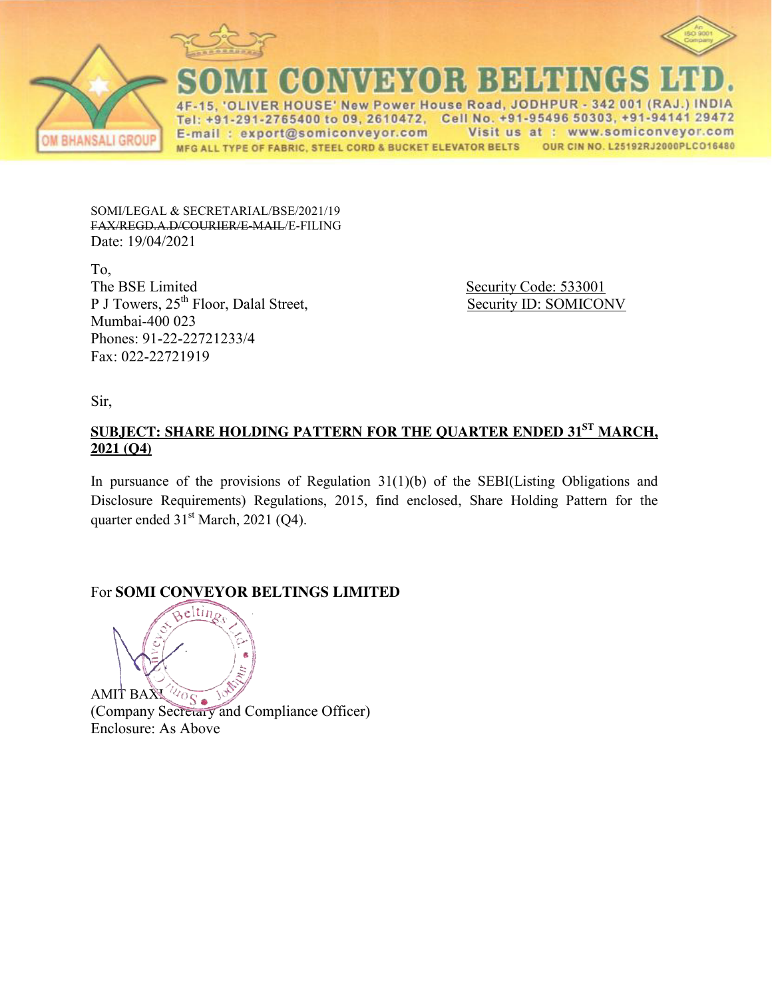



ER HOUSE' New Power House Road, JODHPUR  $-342001$  (RAJ 1-291-2765400 to 09, 2610472, Cell No. +91-95496 50303, +91-94141 29472 Te Visit us at : www.somiconveyor.com E-mail: export@somiconveyor.com OUR CIN NO. L25192RJ2000PLC016480 MFG ALL TYPE OF FABRIC, STEEL CORD & BUCKET ELEVATOR BELTS

SOMI/LEGAL & SECRETARIAL/BSE/2021/19 FAX/REGD.A.D/COURIER/E-MAIL/E-FILING Date: 19/04/2021

To,<br>The BSE Limited P J Towers, 25<sup>th</sup> Floor, Dalal Street, Security ID: SOMICONV Mumbai-400 023 Phones: 91-22-22721233/4 Fax: 022-22721919

Security Code: 533001

Sir,

# **SUBJECT: SHARE HOLDING PATTERN FOR THE QUARTER ENDED 31ST MARCH, 2021 (Q4)**

In pursuance of the provisions of Regulation 31(1)(b) of the SEBI(Listing Obligations and Disclosure Requirements) Regulations, 2015, find enclosed, Share Holding Pattern for the quarter ended  $31<sup>st</sup> March, 2021 (Q4)$ .

# For **SOMI CONVEYOR BELTINGS LIMITED**



AMIT BAX <sup>27</sup> S and Compliance Officer) Enclosure: As Above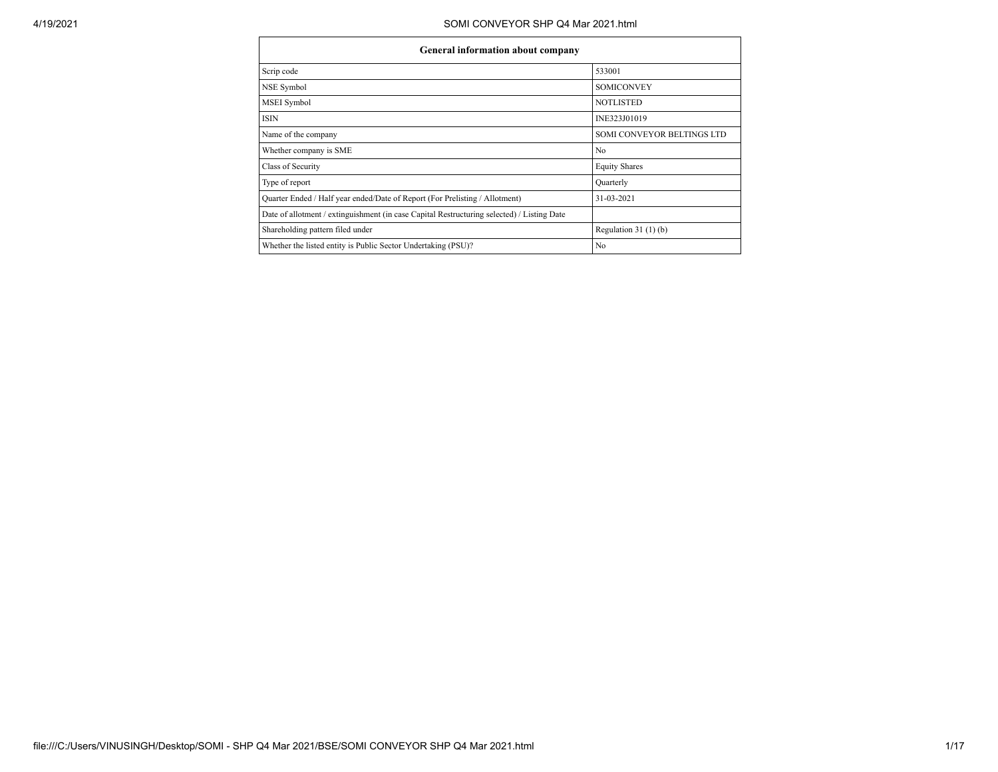| <b>General information about company</b>                                                   |                            |  |  |  |  |  |
|--------------------------------------------------------------------------------------------|----------------------------|--|--|--|--|--|
| Scrip code                                                                                 | 533001                     |  |  |  |  |  |
| NSE Symbol                                                                                 | <b>SOMICONVEY</b>          |  |  |  |  |  |
| <b>MSEI</b> Symbol                                                                         | <b>NOTLISTED</b>           |  |  |  |  |  |
| <b>ISIN</b>                                                                                | INE323J01019               |  |  |  |  |  |
| Name of the company                                                                        | SOMI CONVEYOR BELTINGS LTD |  |  |  |  |  |
| Whether company is SME                                                                     | N <sub>0</sub>             |  |  |  |  |  |
| Class of Security                                                                          | <b>Equity Shares</b>       |  |  |  |  |  |
| Type of report                                                                             | Quarterly                  |  |  |  |  |  |
| Ouarter Ended / Half year ended/Date of Report (For Prelisting / Allotment)                | 31-03-2021                 |  |  |  |  |  |
| Date of allotment / extinguishment (in case Capital Restructuring selected) / Listing Date |                            |  |  |  |  |  |
| Shareholding pattern filed under                                                           | Regulation $31(1)(b)$      |  |  |  |  |  |
| Whether the listed entity is Public Sector Undertaking (PSU)?                              | N <sub>0</sub>             |  |  |  |  |  |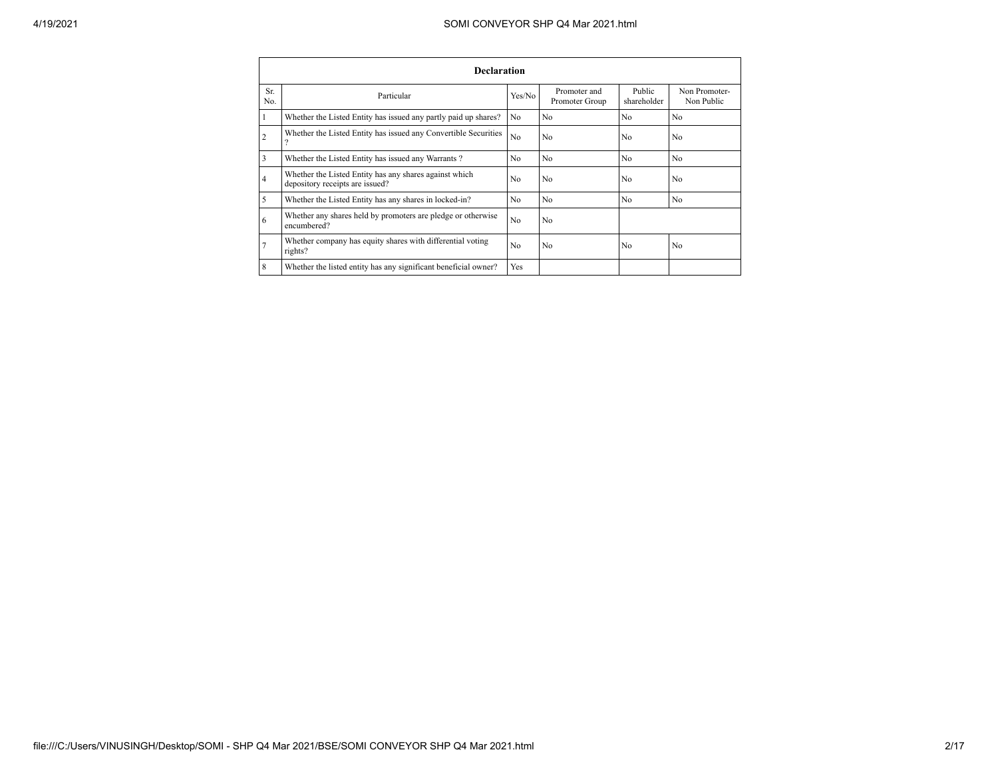| <b>Declaration</b> |                                                                                           |                |                                |                       |                             |  |  |  |
|--------------------|-------------------------------------------------------------------------------------------|----------------|--------------------------------|-----------------------|-----------------------------|--|--|--|
| Sr.<br>No.         | Particular                                                                                | Yes/No         | Promoter and<br>Promoter Group | Public<br>shareholder | Non Promoter-<br>Non Public |  |  |  |
|                    | Whether the Listed Entity has issued any partly paid up shares?                           | No.            | N <sub>0</sub>                 | N <sub>0</sub>        | N <sub>0</sub>              |  |  |  |
| $\overline{2}$     | Whether the Listed Entity has issued any Convertible Securities                           | N <sub>o</sub> | N <sub>0</sub>                 | N <sub>0</sub>        | N <sub>0</sub>              |  |  |  |
| 3                  | Whether the Listed Entity has issued any Warrants?                                        | No.            | N <sub>0</sub>                 | N <sub>0</sub>        | N <sub>0</sub>              |  |  |  |
| $\overline{4}$     | Whether the Listed Entity has any shares against which<br>depository receipts are issued? | N <sub>0</sub> | N <sub>0</sub>                 | N <sub>0</sub>        | N <sub>0</sub>              |  |  |  |
| 5                  | Whether the Listed Entity has any shares in locked-in?                                    | N <sub>0</sub> | N <sub>0</sub>                 | N <sub>0</sub>        | N <sub>0</sub>              |  |  |  |
| 6                  | Whether any shares held by promoters are pledge or otherwise<br>encumbered?               | N <sub>0</sub> | N <sub>0</sub>                 |                       |                             |  |  |  |
| 7                  | Whether company has equity shares with differential voting<br>rights?                     | N <sub>0</sub> | N <sub>0</sub>                 | N <sub>0</sub>        | N <sub>0</sub>              |  |  |  |
| 8                  | Whether the listed entity has any significant beneficial owner?                           | Yes            |                                |                       |                             |  |  |  |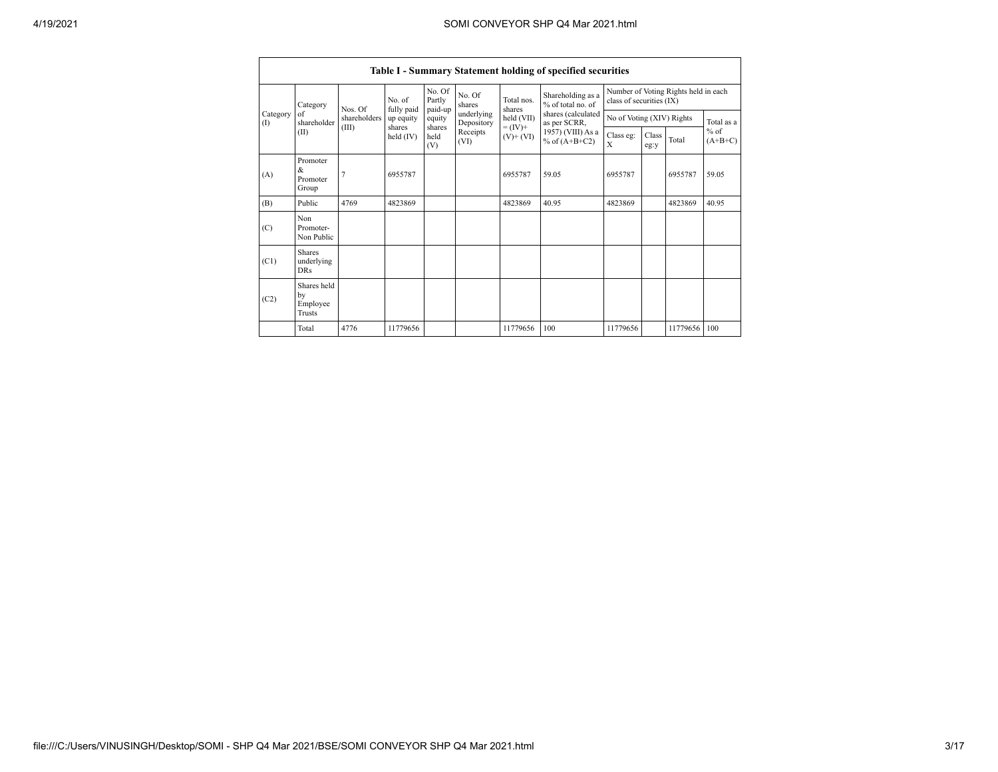|                 | Table I - Summary Statement holding of specified securities                                          |                   |                                   |                             |                          |                          |                                       |                                                                  |  |              |       |
|-----------------|------------------------------------------------------------------------------------------------------|-------------------|-----------------------------------|-----------------------------|--------------------------|--------------------------|---------------------------------------|------------------------------------------------------------------|--|--------------|-------|
|                 | Category                                                                                             | Nos Of            | No. of                            | No. Of<br>Partly            | No. Of<br>shares         | Total nos.<br>shares     | Shareholding as a<br>% of total no of | Number of Voting Rights held in each<br>class of securities (IX) |  |              |       |
| Category<br>(1) | of<br>shareholder                                                                                    | shareholders      | fully paid<br>up equity<br>shares | paid-up<br>equity<br>shares | underlying<br>Depository | held (VII)<br>$= (IV) +$ | shares (calculated<br>as per SCRR,    | No of Voting (XIV) Rights                                        |  | Total as a   |       |
|                 | (III)<br>(II)<br>Receipts<br>held $(IV)$<br>held<br>$(V)$ + $(VI)$<br>% of $(A+B+C2)$<br>(VI)<br>(V) | 1957) (VIII) As a | Class eg:<br>$\mathbf x$          | Class<br>eg:y               | Total                    | $%$ of<br>$(A+B+C)$      |                                       |                                                                  |  |              |       |
| (A)             | Promoter<br>&<br>Promoter<br>Group                                                                   | $\overline{7}$    | 6955787                           |                             |                          | 6955787                  | 59.05                                 | 6955787                                                          |  | 6955787      | 59.05 |
| (B)             | Public                                                                                               | 4769              | 4823869                           |                             |                          | 4823869                  | 40.95                                 | 4823869                                                          |  | 4823869      | 40.95 |
| (C)             | Non<br>Promoter-<br>Non Public                                                                       |                   |                                   |                             |                          |                          |                                       |                                                                  |  |              |       |
| (C1)            | <b>Shares</b><br>underlying<br><b>DRs</b>                                                            |                   |                                   |                             |                          |                          |                                       |                                                                  |  |              |       |
| (C2)            | Shares held<br>by<br>Employee<br>Trusts                                                              |                   |                                   |                             |                          |                          |                                       |                                                                  |  |              |       |
|                 | Total                                                                                                | 4776              | 11779656                          |                             |                          | 11779656                 | 100                                   | 11779656                                                         |  | 11779656 100 |       |

 $\blacksquare$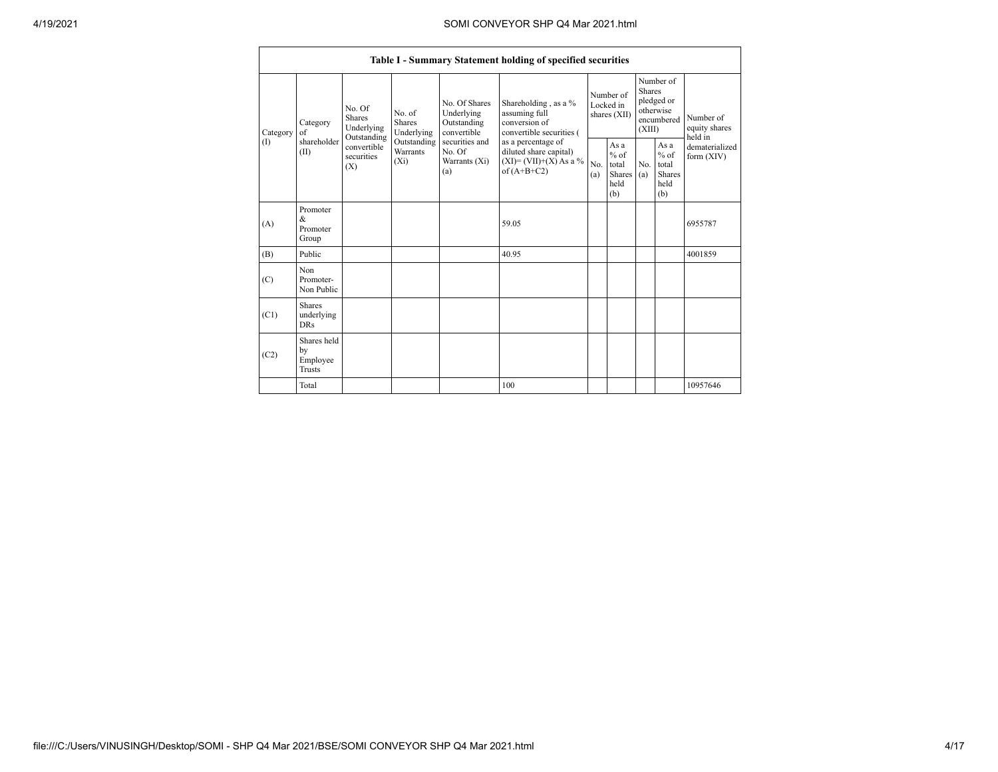|                 | Table I - Summary Statement holding of specified securities                                                                       |                                       |                                                           |                                                                                                                                                                                |                                        |                                                         |                                                                               |                                                  |                                       |          |
|-----------------|-----------------------------------------------------------------------------------------------------------------------------------|---------------------------------------|-----------------------------------------------------------|--------------------------------------------------------------------------------------------------------------------------------------------------------------------------------|----------------------------------------|---------------------------------------------------------|-------------------------------------------------------------------------------|--------------------------------------------------|---------------------------------------|----------|
| Category<br>(1) | No. Of<br><b>Shares</b><br>Category<br>Underlying<br>of<br>Outstanding<br>shareholder<br>convertible<br>(II)<br>securities<br>(X) | No. of<br><b>Shares</b><br>Underlying | No. Of Shares<br>Underlying<br>Outstanding<br>convertible | Shareholding, as a %<br>assuming full<br>conversion of<br>convertible securities (<br>as a percentage of<br>diluted share capital)<br>$(XI)=(VII)+(X) As a %$<br>of $(A+B+C2)$ | Number of<br>Locked in<br>shares (XII) |                                                         | Number of<br><b>Shares</b><br>pledged or<br>otherwise<br>encumbered<br>(XIII) |                                                  | Number of<br>equity shares<br>held in |          |
|                 |                                                                                                                                   | Outstanding<br>Warrants<br>$(X_i)$    | securities and<br>No. Of<br>Warrants (Xi)<br>(a)          |                                                                                                                                                                                | No.<br>(a)                             | As a<br>$%$ of<br>total<br><b>Shares</b><br>held<br>(b) | No.<br>(a)                                                                    | As a<br>$%$ of<br>total<br>Shares<br>held<br>(b) | dematerialized<br>form $(XIV)$        |          |
| (A)             | Promoter<br>&<br>Promoter<br>Group                                                                                                |                                       |                                                           |                                                                                                                                                                                | 59.05                                  |                                                         |                                                                               |                                                  |                                       | 6955787  |
| (B)             | Public                                                                                                                            |                                       |                                                           |                                                                                                                                                                                | 40.95                                  |                                                         |                                                                               |                                                  |                                       | 4001859  |
| (C)             | Non<br>Promoter-<br>Non Public                                                                                                    |                                       |                                                           |                                                                                                                                                                                |                                        |                                                         |                                                                               |                                                  |                                       |          |
| (C1)            | <b>Shares</b><br>underlying<br><b>DRs</b>                                                                                         |                                       |                                                           |                                                                                                                                                                                |                                        |                                                         |                                                                               |                                                  |                                       |          |
| (C2)            | Shares held<br>by<br>Employee<br>Trusts                                                                                           |                                       |                                                           |                                                                                                                                                                                |                                        |                                                         |                                                                               |                                                  |                                       |          |
|                 | Total                                                                                                                             |                                       |                                                           |                                                                                                                                                                                | 100                                    |                                                         |                                                                               |                                                  |                                       | 10957646 |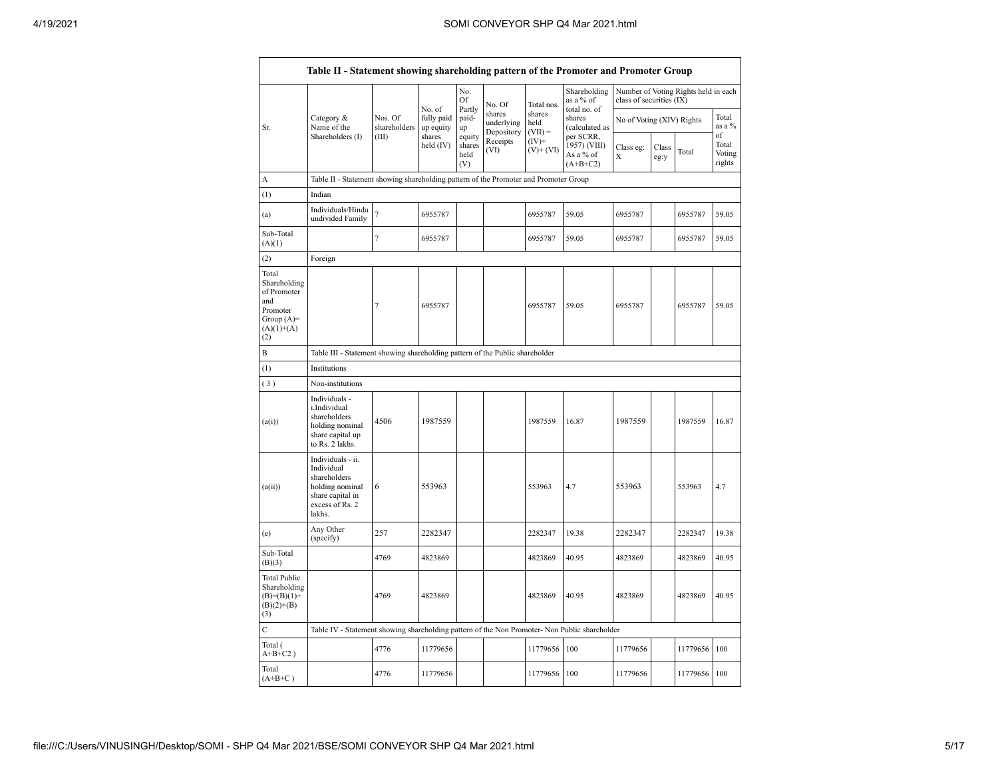| shares<br>shares<br>Nos. Of<br>Category &<br>fully paid<br>paid-<br>shares<br>No of Voting (XIV) Rights<br>underlying<br>held<br>Name of the<br>shareholders<br>(calculated as<br>Sr.<br>up equity<br>up<br>Depository<br>$(VII) =$<br>Shareholders (I)<br>(III)<br>shares<br>equity<br>per SCRR,<br>Receipts<br>$(IV)$ +<br>held $(IV)$<br>shares<br>1957) (VIII)<br>Class eg:<br>Class<br>(VI)<br>$(V)+(VI)$<br>Total<br>As a % of<br>held<br>X<br>eg:y<br>(V)<br>$(A+B+C2)$<br>Table II - Statement showing shareholding pattern of the Promoter and Promoter Group<br>A<br>(1)<br>Indian<br>Individuals/Hindu<br>$\overline{7}$<br>6955787<br>6955787<br>59.05<br>6955787<br>(a)<br>undivided Family<br>Sub-Total<br>$\tau$<br>59.05<br>6955787<br>6955787<br>6955787<br>(A)(1)<br>(2)<br>Foreign<br>Total<br>Shareholding<br>of Promoter<br>and<br>7<br>6955787<br>6955787<br>59.05<br>6955787<br>Promoter<br>Group $(A)=$<br>$(A)(1)+(A)$<br>(2)<br>B<br>Table III - Statement showing shareholding pattern of the Public shareholder<br>(1)<br>Institutions<br>(3)<br>Non-institutions<br>Individuals -<br>i.Individual<br>shareholders<br>4506<br>1987559<br>1987559<br>1987559<br>16.87<br>(a(i))<br>holding nominal<br>share capital up<br>to Rs. 2 lakhs.<br>Individuals - ii.<br>Individual<br>shareholders<br>553963<br>553963<br>holding nominal<br>6<br>553963<br>4.7<br>(a(ii))<br>share capital in<br>excess of Rs. 2<br>lakhs.<br>Any Other<br>257<br>2282347<br>19.38<br>2282347<br>2282347<br>(e)<br>(specify)<br>Sub-Total<br>4769<br>4823869<br>4823869<br>40.95<br>4823869<br>(B)(3)<br><b>Total Public</b><br>Shareholding<br>4769<br>4823869<br>4823869<br>40.95<br>4823869<br>$(B)= (B)(1) +$<br>$(B)(2)+(B)$<br>(3)<br>Ċ<br>Table IV - Statement showing shareholding pattern of the Non Promoter- Non Public shareholder<br>Total (<br>4776<br>11779656<br>100<br>11779656<br>11779656<br>$A+B+C2$ ) |       |  |  |        | No.<br>Of<br>Partly | No. Of | Total nos. | Shareholding<br>as a % of | class of securities (IX) |  | Number of Voting Rights held in each |                           |
|----------------------------------------------------------------------------------------------------------------------------------------------------------------------------------------------------------------------------------------------------------------------------------------------------------------------------------------------------------------------------------------------------------------------------------------------------------------------------------------------------------------------------------------------------------------------------------------------------------------------------------------------------------------------------------------------------------------------------------------------------------------------------------------------------------------------------------------------------------------------------------------------------------------------------------------------------------------------------------------------------------------------------------------------------------------------------------------------------------------------------------------------------------------------------------------------------------------------------------------------------------------------------------------------------------------------------------------------------------------------------------------------------------------------------------------------------------------------------------------------------------------------------------------------------------------------------------------------------------------------------------------------------------------------------------------------------------------------------------------------------------------------------------------------------------------------------------------------------------------------------------------------------------------------------------|-------|--|--|--------|---------------------|--------|------------|---------------------------|--------------------------|--|--------------------------------------|---------------------------|
|                                                                                                                                                                                                                                                                                                                                                                                                                                                                                                                                                                                                                                                                                                                                                                                                                                                                                                                                                                                                                                                                                                                                                                                                                                                                                                                                                                                                                                                                                                                                                                                                                                                                                                                                                                                                                                                                                                                                  |       |  |  | No. of |                     |        |            | total no. of              |                          |  | Total<br>as a $%$<br>of              |                           |
|                                                                                                                                                                                                                                                                                                                                                                                                                                                                                                                                                                                                                                                                                                                                                                                                                                                                                                                                                                                                                                                                                                                                                                                                                                                                                                                                                                                                                                                                                                                                                                                                                                                                                                                                                                                                                                                                                                                                  |       |  |  |        |                     |        |            |                           |                          |  |                                      | Total<br>Voting<br>rights |
|                                                                                                                                                                                                                                                                                                                                                                                                                                                                                                                                                                                                                                                                                                                                                                                                                                                                                                                                                                                                                                                                                                                                                                                                                                                                                                                                                                                                                                                                                                                                                                                                                                                                                                                                                                                                                                                                                                                                  |       |  |  |        |                     |        |            |                           |                          |  |                                      |                           |
|                                                                                                                                                                                                                                                                                                                                                                                                                                                                                                                                                                                                                                                                                                                                                                                                                                                                                                                                                                                                                                                                                                                                                                                                                                                                                                                                                                                                                                                                                                                                                                                                                                                                                                                                                                                                                                                                                                                                  |       |  |  |        |                     |        |            |                           |                          |  |                                      |                           |
|                                                                                                                                                                                                                                                                                                                                                                                                                                                                                                                                                                                                                                                                                                                                                                                                                                                                                                                                                                                                                                                                                                                                                                                                                                                                                                                                                                                                                                                                                                                                                                                                                                                                                                                                                                                                                                                                                                                                  |       |  |  |        |                     |        |            |                           |                          |  | 6955787                              | 59.05                     |
|                                                                                                                                                                                                                                                                                                                                                                                                                                                                                                                                                                                                                                                                                                                                                                                                                                                                                                                                                                                                                                                                                                                                                                                                                                                                                                                                                                                                                                                                                                                                                                                                                                                                                                                                                                                                                                                                                                                                  |       |  |  |        |                     |        |            |                           |                          |  | 6955787                              | 59.05                     |
|                                                                                                                                                                                                                                                                                                                                                                                                                                                                                                                                                                                                                                                                                                                                                                                                                                                                                                                                                                                                                                                                                                                                                                                                                                                                                                                                                                                                                                                                                                                                                                                                                                                                                                                                                                                                                                                                                                                                  |       |  |  |        |                     |        |            |                           |                          |  |                                      |                           |
|                                                                                                                                                                                                                                                                                                                                                                                                                                                                                                                                                                                                                                                                                                                                                                                                                                                                                                                                                                                                                                                                                                                                                                                                                                                                                                                                                                                                                                                                                                                                                                                                                                                                                                                                                                                                                                                                                                                                  |       |  |  |        |                     |        |            |                           |                          |  | 6955787                              | 59.05                     |
|                                                                                                                                                                                                                                                                                                                                                                                                                                                                                                                                                                                                                                                                                                                                                                                                                                                                                                                                                                                                                                                                                                                                                                                                                                                                                                                                                                                                                                                                                                                                                                                                                                                                                                                                                                                                                                                                                                                                  |       |  |  |        |                     |        |            |                           |                          |  |                                      |                           |
|                                                                                                                                                                                                                                                                                                                                                                                                                                                                                                                                                                                                                                                                                                                                                                                                                                                                                                                                                                                                                                                                                                                                                                                                                                                                                                                                                                                                                                                                                                                                                                                                                                                                                                                                                                                                                                                                                                                                  |       |  |  |        |                     |        |            |                           |                          |  |                                      |                           |
|                                                                                                                                                                                                                                                                                                                                                                                                                                                                                                                                                                                                                                                                                                                                                                                                                                                                                                                                                                                                                                                                                                                                                                                                                                                                                                                                                                                                                                                                                                                                                                                                                                                                                                                                                                                                                                                                                                                                  |       |  |  |        |                     |        |            |                           |                          |  |                                      |                           |
|                                                                                                                                                                                                                                                                                                                                                                                                                                                                                                                                                                                                                                                                                                                                                                                                                                                                                                                                                                                                                                                                                                                                                                                                                                                                                                                                                                                                                                                                                                                                                                                                                                                                                                                                                                                                                                                                                                                                  |       |  |  |        |                     |        |            |                           |                          |  | 1987559                              | 16.87                     |
|                                                                                                                                                                                                                                                                                                                                                                                                                                                                                                                                                                                                                                                                                                                                                                                                                                                                                                                                                                                                                                                                                                                                                                                                                                                                                                                                                                                                                                                                                                                                                                                                                                                                                                                                                                                                                                                                                                                                  |       |  |  |        |                     |        |            |                           |                          |  | 553963                               | 4.7                       |
|                                                                                                                                                                                                                                                                                                                                                                                                                                                                                                                                                                                                                                                                                                                                                                                                                                                                                                                                                                                                                                                                                                                                                                                                                                                                                                                                                                                                                                                                                                                                                                                                                                                                                                                                                                                                                                                                                                                                  |       |  |  |        |                     |        |            |                           |                          |  | 2282347                              | 19.38                     |
|                                                                                                                                                                                                                                                                                                                                                                                                                                                                                                                                                                                                                                                                                                                                                                                                                                                                                                                                                                                                                                                                                                                                                                                                                                                                                                                                                                                                                                                                                                                                                                                                                                                                                                                                                                                                                                                                                                                                  |       |  |  |        |                     |        |            |                           |                          |  | 4823869                              | 40.95                     |
|                                                                                                                                                                                                                                                                                                                                                                                                                                                                                                                                                                                                                                                                                                                                                                                                                                                                                                                                                                                                                                                                                                                                                                                                                                                                                                                                                                                                                                                                                                                                                                                                                                                                                                                                                                                                                                                                                                                                  |       |  |  |        |                     |        |            |                           |                          |  | 4823869                              | 40.95                     |
|                                                                                                                                                                                                                                                                                                                                                                                                                                                                                                                                                                                                                                                                                                                                                                                                                                                                                                                                                                                                                                                                                                                                                                                                                                                                                                                                                                                                                                                                                                                                                                                                                                                                                                                                                                                                                                                                                                                                  |       |  |  |        |                     |        |            |                           |                          |  |                                      |                           |
|                                                                                                                                                                                                                                                                                                                                                                                                                                                                                                                                                                                                                                                                                                                                                                                                                                                                                                                                                                                                                                                                                                                                                                                                                                                                                                                                                                                                                                                                                                                                                                                                                                                                                                                                                                                                                                                                                                                                  |       |  |  |        |                     |        |            |                           |                          |  | 11779656                             | 100                       |
| 4776<br>11779656<br>11779656<br>100<br>11779656<br>$(A+B+C)$                                                                                                                                                                                                                                                                                                                                                                                                                                                                                                                                                                                                                                                                                                                                                                                                                                                                                                                                                                                                                                                                                                                                                                                                                                                                                                                                                                                                                                                                                                                                                                                                                                                                                                                                                                                                                                                                     | Total |  |  |        |                     |        |            |                           |                          |  | 11779656                             | 100                       |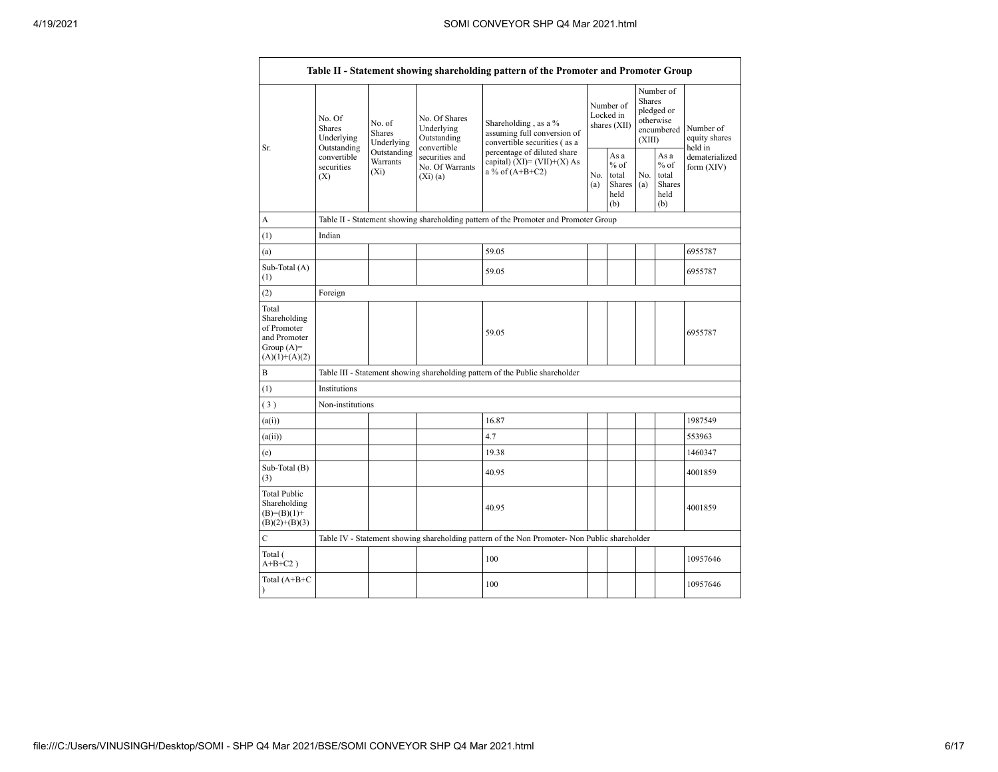|                                                                                         |                                                                                                                         |                                                                                      |                                                             | Table II - Statement showing shareholding pattern of the Promoter and Promoter Group          |                                        |                                                        |                                                                               |                                                  |                                       |
|-----------------------------------------------------------------------------------------|-------------------------------------------------------------------------------------------------------------------------|--------------------------------------------------------------------------------------|-------------------------------------------------------------|-----------------------------------------------------------------------------------------------|----------------------------------------|--------------------------------------------------------|-------------------------------------------------------------------------------|--------------------------------------------------|---------------------------------------|
| Sr.                                                                                     | No. Of<br>No. of<br><b>Shares</b><br>Shares<br>Underlying<br>Outstanding<br>convertible<br>securities<br>$(X_i)$<br>(X) | Underlying                                                                           | No. Of Shares<br>Underlying<br>Outstanding                  | Shareholding, as a %<br>assuming full conversion of<br>convertible securities (as a           | Number of<br>Locked in<br>shares (XII) |                                                        | Number of<br><b>Shares</b><br>pledged or<br>otherwise<br>encumbered<br>(XIII) |                                                  | Number of<br>equity shares<br>held in |
|                                                                                         |                                                                                                                         | Outstanding<br>Warrants                                                              | convertible<br>securities and<br>No. Of Warrants<br>(Xi)(a) | percentage of diluted share<br>capital) $(XI) = (VII)+(X) As$<br>a % of $(A+B+C2)$            |                                        | As a<br>$%$ of<br>total<br>Shares $(a)$<br>held<br>(b) | No.                                                                           | As a<br>$%$ of<br>total<br>Shares<br>held<br>(b) | dematerialized<br>form (XIV)          |
| A                                                                                       |                                                                                                                         | Table II - Statement showing shareholding pattern of the Promoter and Promoter Group |                                                             |                                                                                               |                                        |                                                        |                                                                               |                                                  |                                       |
| (1)                                                                                     | Indian                                                                                                                  |                                                                                      |                                                             |                                                                                               |                                        |                                                        |                                                                               |                                                  |                                       |
| (a)                                                                                     |                                                                                                                         |                                                                                      |                                                             | 59.05                                                                                         |                                        |                                                        |                                                                               |                                                  | 6955787                               |
| Sub-Total (A)<br>(1)                                                                    |                                                                                                                         |                                                                                      |                                                             | 59.05                                                                                         |                                        |                                                        |                                                                               |                                                  | 6955787                               |
| (2)                                                                                     | Foreign                                                                                                                 |                                                                                      |                                                             |                                                                                               |                                        |                                                        |                                                                               |                                                  |                                       |
| Total<br>Shareholding<br>of Promoter<br>and Promoter<br>Group $(A)=$<br>$(A)(1)+(A)(2)$ |                                                                                                                         |                                                                                      |                                                             | 59.05                                                                                         |                                        |                                                        |                                                                               |                                                  | 6955787                               |
| B                                                                                       |                                                                                                                         |                                                                                      |                                                             | Table III - Statement showing shareholding pattern of the Public shareholder                  |                                        |                                                        |                                                                               |                                                  |                                       |
| (1)                                                                                     | Institutions                                                                                                            |                                                                                      |                                                             |                                                                                               |                                        |                                                        |                                                                               |                                                  |                                       |
| (3)                                                                                     | Non-institutions                                                                                                        |                                                                                      |                                                             |                                                                                               |                                        |                                                        |                                                                               |                                                  |                                       |
| (a(i))                                                                                  |                                                                                                                         |                                                                                      |                                                             | 16.87                                                                                         |                                        |                                                        |                                                                               |                                                  | 1987549                               |
| (a(ii))                                                                                 |                                                                                                                         |                                                                                      |                                                             | 4.7                                                                                           |                                        |                                                        |                                                                               |                                                  | 553963                                |
| (e)                                                                                     |                                                                                                                         |                                                                                      |                                                             | 19.38                                                                                         |                                        |                                                        |                                                                               |                                                  | 1460347                               |
| Sub-Total (B)<br>(3)                                                                    |                                                                                                                         |                                                                                      |                                                             | 40.95                                                                                         |                                        |                                                        |                                                                               |                                                  | 4001859                               |
| <b>Total Public</b><br>Shareholding<br>$(B)=(B)(1)+$<br>$(B)(2)+(B)(3)$                 |                                                                                                                         |                                                                                      |                                                             | 40.95                                                                                         |                                        |                                                        |                                                                               |                                                  | 4001859                               |
| $\mathcal{C}$                                                                           |                                                                                                                         |                                                                                      |                                                             | Table IV - Statement showing shareholding pattern of the Non Promoter- Non Public shareholder |                                        |                                                        |                                                                               |                                                  |                                       |
| Total (<br>$A+B+C2$ )                                                                   |                                                                                                                         |                                                                                      |                                                             | 100                                                                                           |                                        |                                                        |                                                                               |                                                  | 10957646                              |
| Total (A+B+C<br>$\lambda$                                                               |                                                                                                                         |                                                                                      |                                                             | 100                                                                                           |                                        |                                                        |                                                                               |                                                  | 10957646                              |

 $\blacksquare$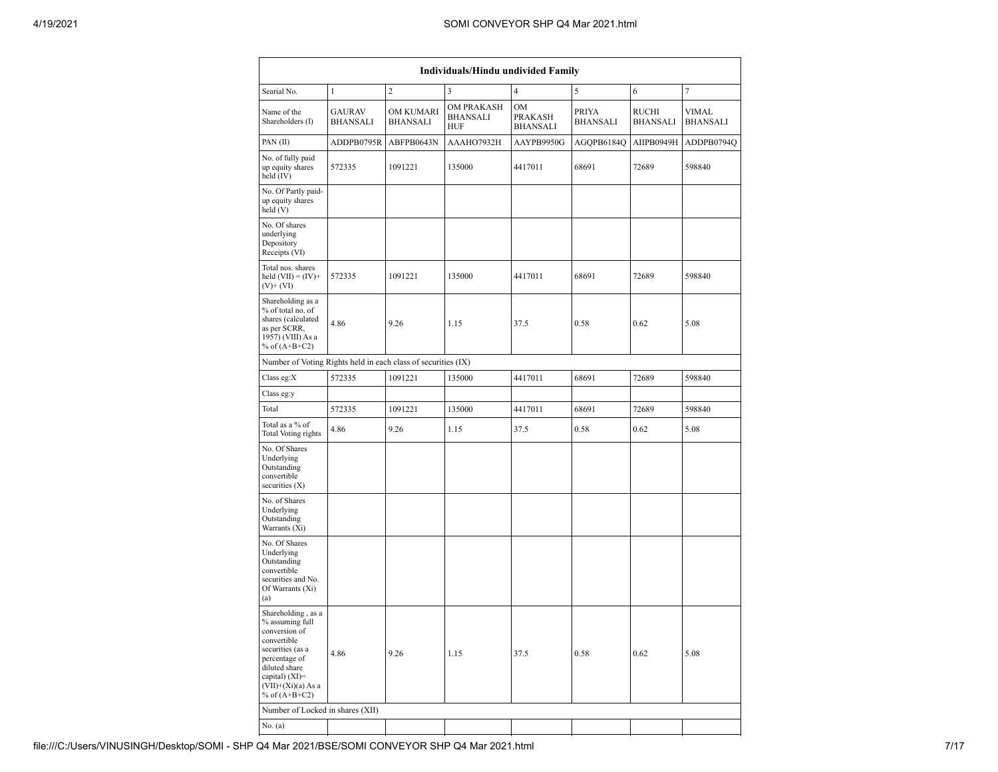| <b>Individuals/Hindu undivided Family</b>                                                                                                                                                   |                           |                              |                                             |                                  |                                 |                          |                          |  |  |
|---------------------------------------------------------------------------------------------------------------------------------------------------------------------------------------------|---------------------------|------------------------------|---------------------------------------------|----------------------------------|---------------------------------|--------------------------|--------------------------|--|--|
| Searial No.                                                                                                                                                                                 | $\mathbf{1}$              | $\overline{c}$               | 3                                           | $\overline{4}$                   | $\sqrt{5}$                      | 6                        | $\overline{7}$           |  |  |
| Name of the<br>Shareholders (I)                                                                                                                                                             | GAURAV<br><b>BHANSALI</b> | OM KUMARI<br><b>BHANSALI</b> | <b>OM PRAKASH</b><br><b>BHANSALI</b><br>HUF | <b>OM</b><br>PRAKASH<br>BHANSALI | <b>PRIYA</b><br><b>BHANSALI</b> | RUCHI<br><b>BHANSALI</b> | VIMAL<br><b>BHANSALI</b> |  |  |
| PAN(II)                                                                                                                                                                                     | ADDPB0795R                | ABFPB0643N                   | AAAHO7932H                                  | AAYPB9950G                       | AGQPB6184Q                      | AIIPB0949H               | ADDPB0794Q               |  |  |
| No. of fully paid<br>up equity shares<br>held (IV)                                                                                                                                          | 572335                    | 1091221                      | 135000                                      | 4417011                          | 68691                           | 72689                    | 598840                   |  |  |
| No. Of Partly paid-<br>up equity shares<br>held (V)                                                                                                                                         |                           |                              |                                             |                                  |                                 |                          |                          |  |  |
| No. Of shares<br>underlying<br>Depository<br>Receipts (VI)                                                                                                                                  |                           |                              |                                             |                                  |                                 |                          |                          |  |  |
| Total nos. shares<br>held $(VII) = (IV) +$<br>$(V)$ + $(VI)$                                                                                                                                | 572335                    | 1091221                      | 135000                                      | 4417011                          | 68691                           | 72689                    | 598840                   |  |  |
| Shareholding as a<br>% of total no. of<br>shares (calculated<br>as per SCRR,<br>1957) (VIII) As a<br>% of $(A+B+C2)$                                                                        | 4.86                      | 9.26                         | 1.15                                        | 37.5                             | 0.58                            | 0.62                     | 5.08                     |  |  |
| Number of Voting Rights held in each class of securities (IX)                                                                                                                               |                           |                              |                                             |                                  |                                 |                          |                          |  |  |
| Class eg:X                                                                                                                                                                                  | 572335                    | 1091221                      | 135000                                      | 4417011                          | 68691                           | 72689                    | 598840                   |  |  |
| Class eg:y                                                                                                                                                                                  |                           |                              |                                             |                                  |                                 |                          |                          |  |  |
| Total                                                                                                                                                                                       | 572335                    | 1091221                      | 135000                                      | 4417011                          | 68691                           | 72689                    | 598840                   |  |  |
| Total as a % of<br><b>Total Voting rights</b>                                                                                                                                               | 4.86                      | 9.26                         | 1.15                                        | 37.5                             | 0.58                            | 0.62                     | 5.08                     |  |  |
| No. Of Shares<br>Underlying<br>Outstanding<br>convertible<br>securities $(X)$                                                                                                               |                           |                              |                                             |                                  |                                 |                          |                          |  |  |
| No. of Shares<br>Underlying<br>Outstanding<br>Warrants (Xi)                                                                                                                                 |                           |                              |                                             |                                  |                                 |                          |                          |  |  |
| No. Of Shares<br>Underlying<br>Outstanding<br>convertible<br>securities and No.<br>Of Warrants (Xi)<br>(a)                                                                                  |                           |                              |                                             |                                  |                                 |                          |                          |  |  |
| Shareholding, as a<br>$\%$ assuming full<br>conversion of<br>convertible<br>securities (as a<br>percentage of<br>diluted share<br>capital) (XI)=<br>$(VII)+(Xi)(a)$ As a<br>% of $(A+B+C2)$ | 4.86                      | 9.26                         | 1.15                                        | 37.5                             | 0.58                            | 0.62                     | 5.08                     |  |  |
| Number of Locked in shares (XII)                                                                                                                                                            |                           |                              |                                             |                                  |                                 |                          |                          |  |  |
| No. $(a)$                                                                                                                                                                                   |                           |                              |                                             |                                  |                                 |                          |                          |  |  |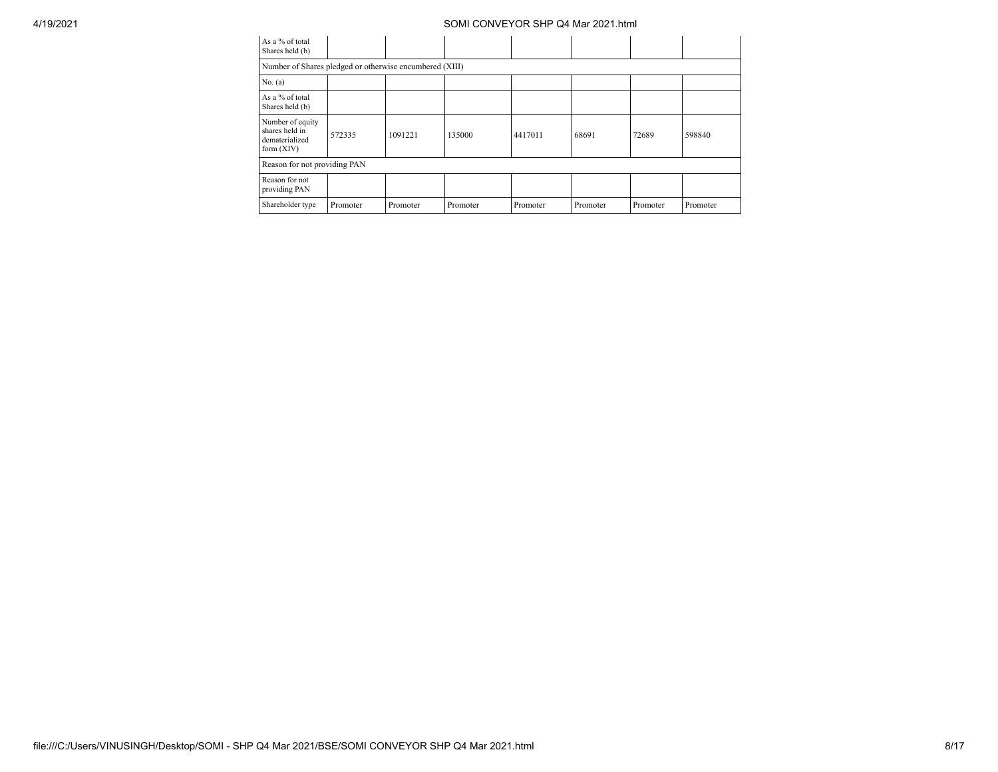| As a % of total<br>Shares held (b)                                   |                              |          |          |          |          |          |          |  |  |
|----------------------------------------------------------------------|------------------------------|----------|----------|----------|----------|----------|----------|--|--|
| Number of Shares pledged or otherwise encumbered (XIII)              |                              |          |          |          |          |          |          |  |  |
| No. $(a)$                                                            |                              |          |          |          |          |          |          |  |  |
| As a % of total<br>Shares held (b)                                   |                              |          |          |          |          |          |          |  |  |
| Number of equity<br>shares held in<br>dematerialized<br>form $(XIV)$ | 572335                       | 1091221  | 135000   | 4417011  | 68691    | 72689    | 598840   |  |  |
|                                                                      | Reason for not providing PAN |          |          |          |          |          |          |  |  |
| Reason for not<br>providing PAN                                      |                              |          |          |          |          |          |          |  |  |
| Shareholder type                                                     | Promoter                     | Promoter | Promoter | Promoter | Promoter | Promoter | Promoter |  |  |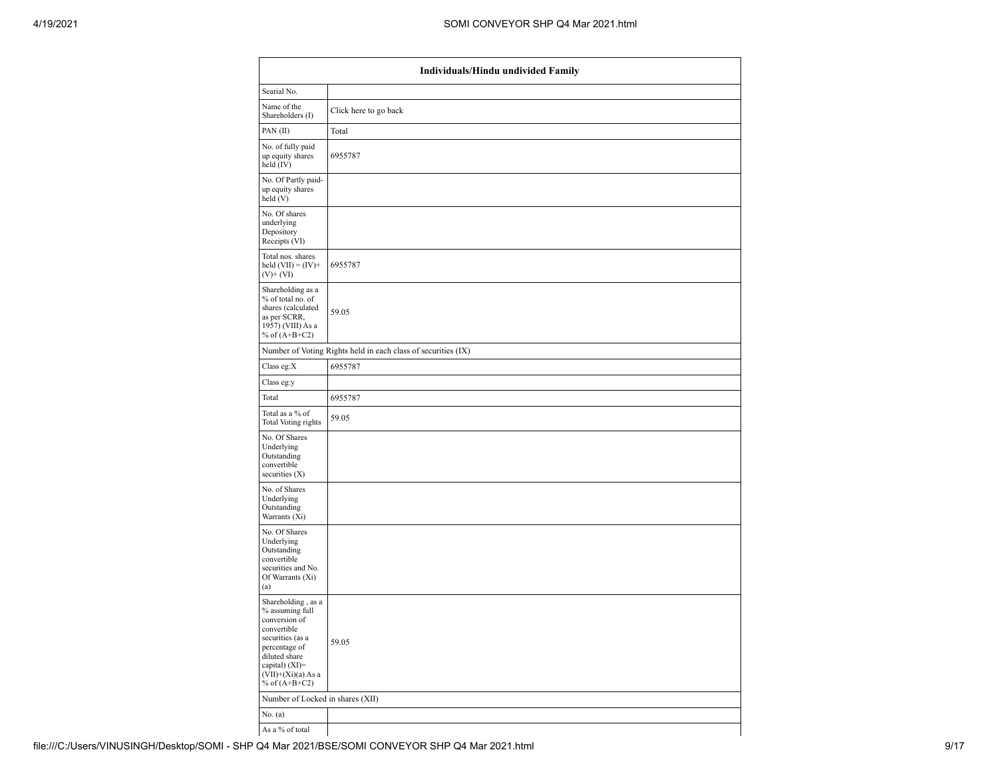|                                                                                                                                                                                            | Individuals/Hindu undivided Family                            |  |  |  |  |  |  |  |
|--------------------------------------------------------------------------------------------------------------------------------------------------------------------------------------------|---------------------------------------------------------------|--|--|--|--|--|--|--|
| Searial No.                                                                                                                                                                                |                                                               |  |  |  |  |  |  |  |
| Name of the<br>Shareholders (I)                                                                                                                                                            | Click here to go back                                         |  |  |  |  |  |  |  |
| PAN(II)                                                                                                                                                                                    | Total                                                         |  |  |  |  |  |  |  |
| No. of fully paid<br>up equity shares<br>held (IV)                                                                                                                                         | 6955787                                                       |  |  |  |  |  |  |  |
| No. Of Partly paid-<br>up equity shares<br>held (V)                                                                                                                                        |                                                               |  |  |  |  |  |  |  |
| No. Of shares<br>underlying<br>Depository<br>Receipts (VI)                                                                                                                                 |                                                               |  |  |  |  |  |  |  |
| Total nos. shares<br>held $(VII) = (IV) +$<br>$(V)$ + $(VI)$                                                                                                                               | 6955787                                                       |  |  |  |  |  |  |  |
| Shareholding as a<br>% of total no. of<br>shares (calculated<br>as per SCRR,<br>1957) (VIII) As a<br>% of $(A+B+C2)$                                                                       | 59.05                                                         |  |  |  |  |  |  |  |
|                                                                                                                                                                                            | Number of Voting Rights held in each class of securities (IX) |  |  |  |  |  |  |  |
| Class eg:X                                                                                                                                                                                 | 6955787                                                       |  |  |  |  |  |  |  |
| Class eg:y                                                                                                                                                                                 |                                                               |  |  |  |  |  |  |  |
| Total                                                                                                                                                                                      | 6955787                                                       |  |  |  |  |  |  |  |
| Total as a % of<br><b>Total Voting rights</b>                                                                                                                                              | 59.05                                                         |  |  |  |  |  |  |  |
| No. Of Shares<br>Underlying<br>Outstanding<br>convertible<br>securities $(X)$                                                                                                              |                                                               |  |  |  |  |  |  |  |
| No. of Shares<br>Underlying<br>Outstanding<br>Warrants (Xi)                                                                                                                                |                                                               |  |  |  |  |  |  |  |
| No. Of Shares<br>Underlying<br>Outstanding<br>convertible<br>securities and No.<br>Of Warrants (Xi)<br>(a)                                                                                 |                                                               |  |  |  |  |  |  |  |
| Shareholding, as a<br>% assuming full<br>conversion of<br>convertible<br>securities (as a<br>percentage of<br>diluted share<br>capital) $(XI)=$<br>$(VII)+(Xi)(a) As a$<br>% of $(A+B+C2)$ | 59.05                                                         |  |  |  |  |  |  |  |
| Number of Locked in shares (XII)                                                                                                                                                           |                                                               |  |  |  |  |  |  |  |
| No. $(a)$                                                                                                                                                                                  |                                                               |  |  |  |  |  |  |  |
| As a % of total                                                                                                                                                                            |                                                               |  |  |  |  |  |  |  |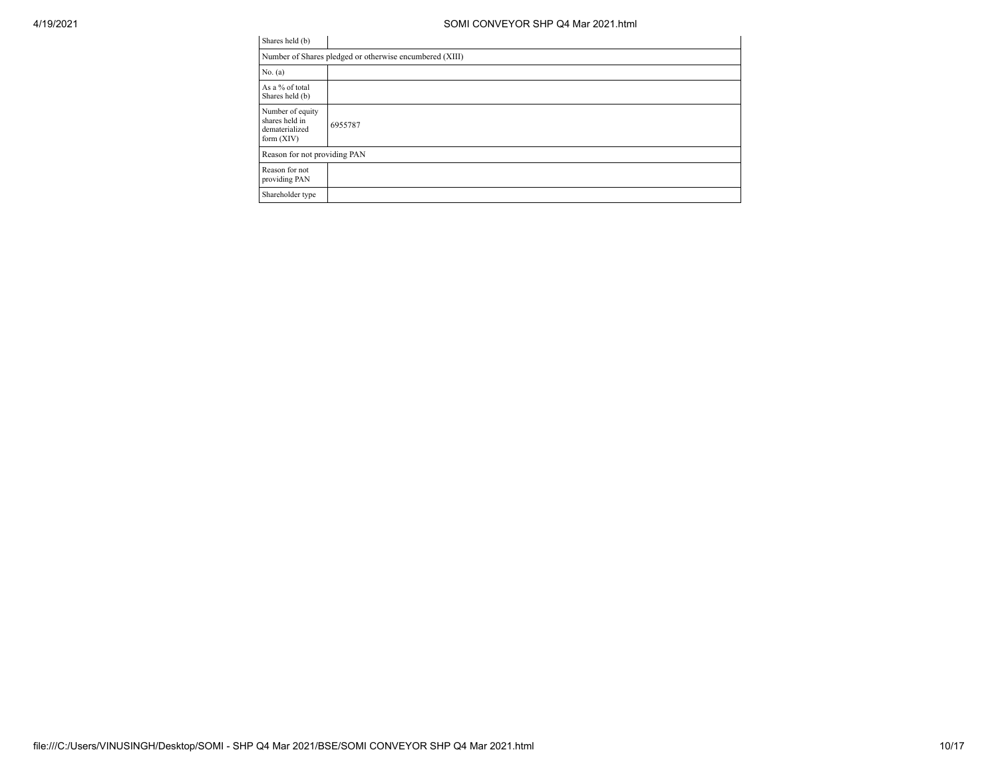| Shares held (b)                                                      |         |  |  |  |  |  |  |
|----------------------------------------------------------------------|---------|--|--|--|--|--|--|
| Number of Shares pledged or otherwise encumbered (XIII)              |         |  |  |  |  |  |  |
| No. $(a)$                                                            |         |  |  |  |  |  |  |
| As a % of total<br>Shares held (b)                                   |         |  |  |  |  |  |  |
| Number of equity<br>shares held in<br>dematerialized<br>form $(XIV)$ | 6955787 |  |  |  |  |  |  |
| Reason for not providing PAN                                         |         |  |  |  |  |  |  |
| Reason for not<br>providing PAN                                      |         |  |  |  |  |  |  |
| Shareholder type                                                     |         |  |  |  |  |  |  |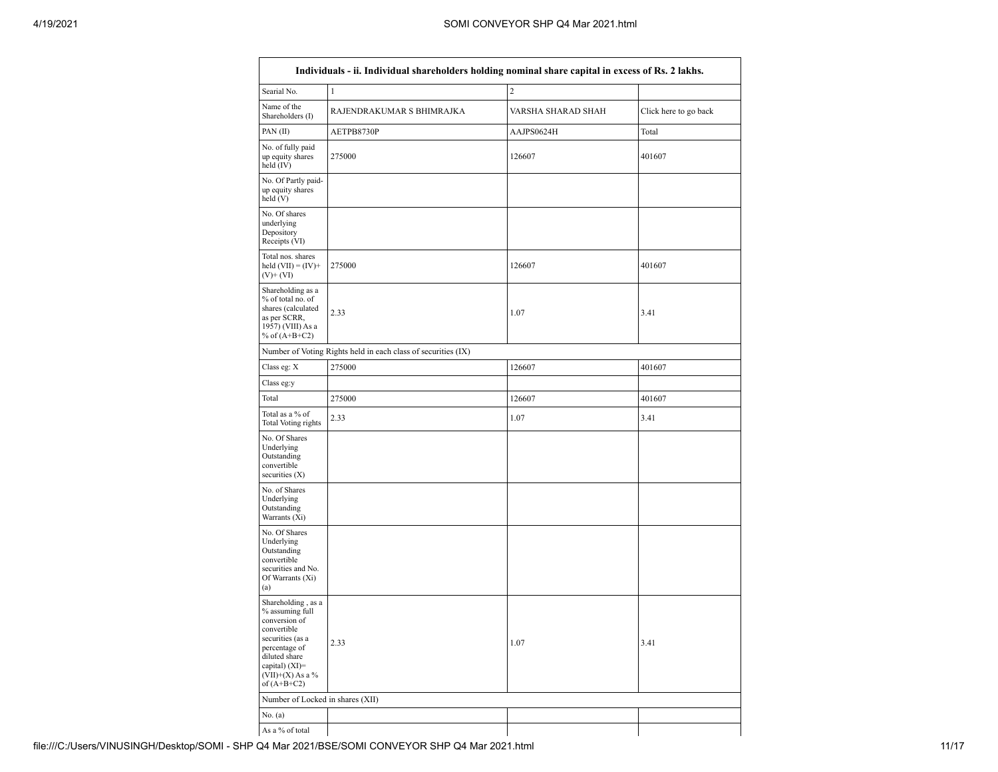|                                                                                                                                                                                        | Individuals - ii. Individual shareholders holding nominal share capital in excess of Rs. 2 lakhs. |                    |                       |  |  |  |  |  |  |
|----------------------------------------------------------------------------------------------------------------------------------------------------------------------------------------|---------------------------------------------------------------------------------------------------|--------------------|-----------------------|--|--|--|--|--|--|
| Searial No.                                                                                                                                                                            | $\mathbf{1}$                                                                                      | $\overline{c}$     |                       |  |  |  |  |  |  |
| Name of the<br>Shareholders (I)                                                                                                                                                        | RAJENDRAKUMAR S BHIMRAJKA                                                                         | VARSHA SHARAD SHAH | Click here to go back |  |  |  |  |  |  |
| PAN $(II)$                                                                                                                                                                             | AETPB8730P                                                                                        | AAJPS0624H         | Total                 |  |  |  |  |  |  |
| No. of fully paid<br>up equity shares<br>held $(IV)$                                                                                                                                   | 275000                                                                                            | 126607             | 401607                |  |  |  |  |  |  |
| No. Of Partly paid-<br>up equity shares<br>held (V)                                                                                                                                    |                                                                                                   |                    |                       |  |  |  |  |  |  |
| No. Of shares<br>underlying<br>Depository<br>Receipts (VI)                                                                                                                             |                                                                                                   |                    |                       |  |  |  |  |  |  |
| Total nos. shares<br>held $(VII) = (IV) +$<br>$(V)$ + $(V)$                                                                                                                            | 275000                                                                                            | 126607             | 401607                |  |  |  |  |  |  |
| Shareholding as a<br>% of total no. of<br>shares (calculated<br>as per SCRR,<br>1957) (VIII) As a<br>% of $(A+B+C2)$                                                                   | 2.33                                                                                              | 1.07               | 3.41                  |  |  |  |  |  |  |
|                                                                                                                                                                                        | Number of Voting Rights held in each class of securities (IX)                                     |                    |                       |  |  |  |  |  |  |
| Class eg: X                                                                                                                                                                            | 275000                                                                                            | 126607             | 401607                |  |  |  |  |  |  |
| Class eg:y                                                                                                                                                                             |                                                                                                   |                    |                       |  |  |  |  |  |  |
| Total                                                                                                                                                                                  | 275000                                                                                            | 126607             | 401607                |  |  |  |  |  |  |
| Total as a % of<br><b>Total Voting rights</b>                                                                                                                                          | 2.33                                                                                              | 1.07               | 3.41                  |  |  |  |  |  |  |
| No. Of Shares<br>Underlying<br>Outstanding<br>convertible<br>securities $(X)$                                                                                                          |                                                                                                   |                    |                       |  |  |  |  |  |  |
| No. of Shares<br>Underlying<br>Outstanding<br>Warrants (Xi)                                                                                                                            |                                                                                                   |                    |                       |  |  |  |  |  |  |
| No. Of Shares<br>Underlying<br>Outstanding<br>convertible<br>securities and No.<br>Of Warrants (Xi)<br>(a)                                                                             |                                                                                                   |                    |                       |  |  |  |  |  |  |
| Shareholding, as a<br>% assuming full<br>conversion of<br>convertible<br>securities (as a<br>percentage of<br>diluted share<br>capital) $(XI)=$<br>$(VII)+(X)$ As a %<br>of $(A+B+C2)$ | 2.33                                                                                              | 1.07               | 3.41                  |  |  |  |  |  |  |
| Number of Locked in shares (XII)                                                                                                                                                       |                                                                                                   |                    |                       |  |  |  |  |  |  |
| No. $(a)$                                                                                                                                                                              |                                                                                                   |                    |                       |  |  |  |  |  |  |
| As a % of total                                                                                                                                                                        |                                                                                                   |                    |                       |  |  |  |  |  |  |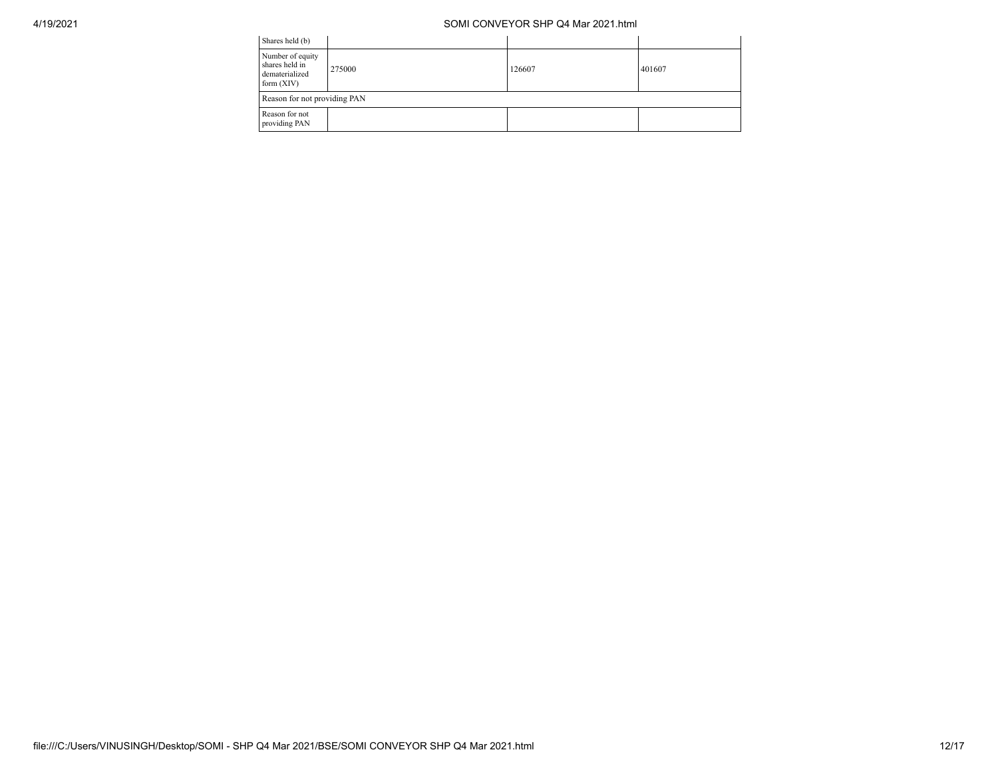| Shares held (b)                                                      |        |        |        |  |  |  |  |
|----------------------------------------------------------------------|--------|--------|--------|--|--|--|--|
| Number of equity<br>shares held in<br>dematerialized<br>form $(XIV)$ | 275000 | 126607 | 401607 |  |  |  |  |
| Reason for not providing PAN                                         |        |        |        |  |  |  |  |
| Reason for not<br>providing PAN                                      |        |        |        |  |  |  |  |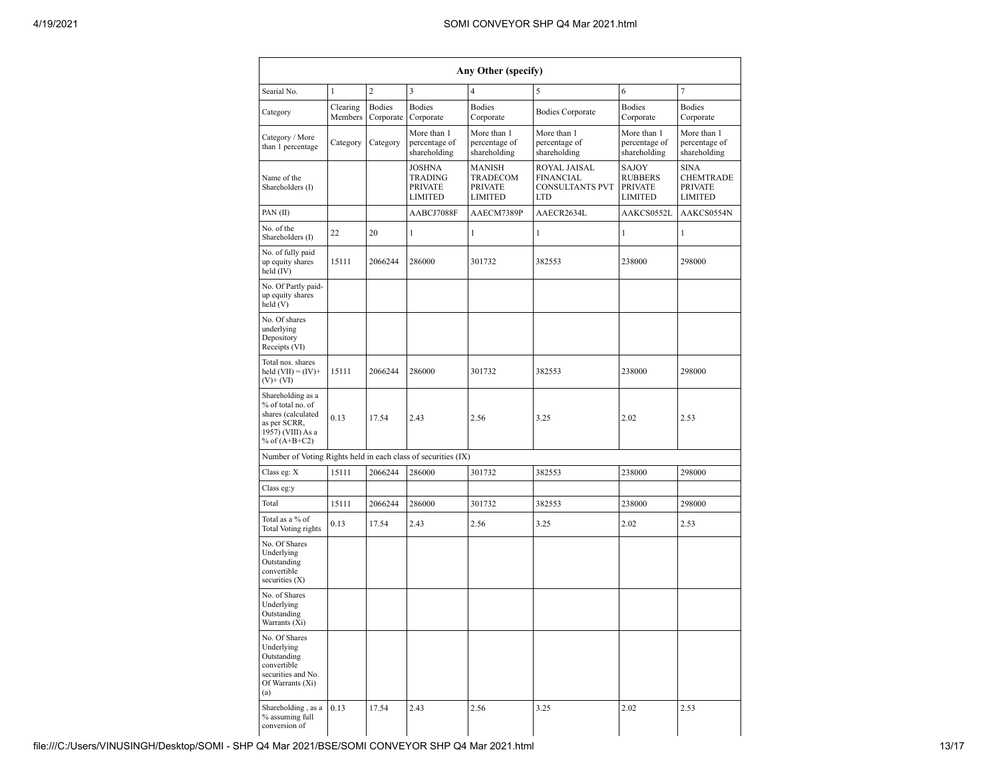| Any Other (specify)                                                                                                  |                     |                            |                                                                     |                                                                                                                                                                                                          |                                                                                              |                                                                     |                                              |  |  |  |  |
|----------------------------------------------------------------------------------------------------------------------|---------------------|----------------------------|---------------------------------------------------------------------|----------------------------------------------------------------------------------------------------------------------------------------------------------------------------------------------------------|----------------------------------------------------------------------------------------------|---------------------------------------------------------------------|----------------------------------------------|--|--|--|--|
| Searial No.                                                                                                          | $\mathbf{1}$        | $\overline{2}$             | 3                                                                   | $\overline{4}$                                                                                                                                                                                           | 5                                                                                            | 6                                                                   | 7                                            |  |  |  |  |
| Category                                                                                                             | Clearing<br>Members | <b>Bodies</b><br>Corporate | <b>Bodies</b><br>Corporate                                          | <b>Bodies</b><br>Corporate                                                                                                                                                                               | <b>Bodies Corporate</b>                                                                      | <b>Bodies</b><br>Corporate                                          | <b>Bodies</b><br>Corporate                   |  |  |  |  |
| Category / More<br>than 1 percentage                                                                                 | Category            | Category                   | More than 1<br>percentage of<br>shareholding                        | More than 1<br>percentage of<br>shareholding                                                                                                                                                             | More than 1<br>More than 1<br>percentage of<br>percentage of<br>shareholding<br>shareholding |                                                                     | More than 1<br>percentage of<br>shareholding |  |  |  |  |
| Name of the<br>Shareholders (I)                                                                                      |                     |                            | <b>JOSHNA</b><br><b>TRADING</b><br><b>PRIVATE</b><br><b>LIMITED</b> | <b>MANISH</b><br>ROYAL JAISAL<br>SAJOY<br>TRADECOM<br><b>FINANCIAL</b><br><b>RUBBERS</b><br><b>PRIVATE</b><br><b>CONSULTANTS PVT</b><br><b>PRIVATE</b><br><b>LIMITED</b><br><b>LTD</b><br><b>LIMITED</b> |                                                                                              | <b>SINA</b><br><b>CHEMTRADE</b><br><b>PRIVATE</b><br><b>LIMITED</b> |                                              |  |  |  |  |
| PAN(II)                                                                                                              |                     |                            | AABCJ7088F                                                          | AAECM7389P                                                                                                                                                                                               | AAECR2634L                                                                                   | AAKCS0552L                                                          | AAKCS0554N                                   |  |  |  |  |
| No. of the<br>Shareholders (I)                                                                                       | 22                  | 20                         | 1                                                                   | $\mathbf{1}$                                                                                                                                                                                             | 1                                                                                            | 1                                                                   | 1                                            |  |  |  |  |
| No. of fully paid<br>up equity shares<br>held (IV)                                                                   | 15111               | 2066244                    | 286000                                                              | 301732                                                                                                                                                                                                   | 382553                                                                                       | 238000                                                              | 298000                                       |  |  |  |  |
| No. Of Partly paid-<br>up equity shares<br>held (V)                                                                  |                     |                            |                                                                     |                                                                                                                                                                                                          |                                                                                              |                                                                     |                                              |  |  |  |  |
| No. Of shares<br>underlying<br>Depository<br>Receipts (VI)                                                           |                     |                            |                                                                     |                                                                                                                                                                                                          |                                                                                              |                                                                     |                                              |  |  |  |  |
| Total nos. shares<br>held $(VII) = (IV) +$<br>$(V)$ + $(VI)$                                                         | 15111               | 2066244                    | 286000                                                              | 301732                                                                                                                                                                                                   | 382553                                                                                       | 238000                                                              | 298000                                       |  |  |  |  |
| Shareholding as a<br>% of total no. of<br>shares (calculated<br>as per SCRR,<br>1957) (VIII) As a<br>% of $(A+B+C2)$ | 0.13                | 17.54                      | 2.43                                                                | 2.56                                                                                                                                                                                                     | 3.25                                                                                         | 2.02                                                                | 2.53                                         |  |  |  |  |
| Number of Voting Rights held in each class of securities (IX)                                                        |                     |                            |                                                                     |                                                                                                                                                                                                          |                                                                                              |                                                                     |                                              |  |  |  |  |
| Class eg: X                                                                                                          | 15111               | 2066244                    | 286000                                                              | 301732                                                                                                                                                                                                   | 382553                                                                                       | 238000                                                              | 298000                                       |  |  |  |  |
| Class eg:y                                                                                                           |                     |                            |                                                                     |                                                                                                                                                                                                          |                                                                                              |                                                                     |                                              |  |  |  |  |
| Total                                                                                                                | 15111               | 2066244                    | 286000                                                              | 301732                                                                                                                                                                                                   | 382553                                                                                       | 238000                                                              | 298000                                       |  |  |  |  |
| Total as a % of<br><b>Total Voting rights</b>                                                                        | 0.13                | 17.54                      | 2.43                                                                | 2.56                                                                                                                                                                                                     | 3.25                                                                                         | 2.02                                                                | 2.53                                         |  |  |  |  |
| No. Of Shares<br>Underlying<br>Outstanding<br>convertible<br>securities $(X)$                                        |                     |                            |                                                                     |                                                                                                                                                                                                          |                                                                                              |                                                                     |                                              |  |  |  |  |
| No. of Shares<br>Underlying<br>Outstanding<br>Warrants (Xi)                                                          |                     |                            |                                                                     |                                                                                                                                                                                                          |                                                                                              |                                                                     |                                              |  |  |  |  |
| No. Of Shares<br>Underlying<br>Outstanding<br>convertible<br>securities and No.<br>Of Warrants (Xi)<br>(a)           |                     |                            |                                                                     |                                                                                                                                                                                                          |                                                                                              |                                                                     |                                              |  |  |  |  |
| Shareholding, as a<br>% assuming full<br>conversion of                                                               | 0.13                | 17.54                      | 2.43                                                                | 2.56                                                                                                                                                                                                     | 3.25                                                                                         | 2.02                                                                | 2.53                                         |  |  |  |  |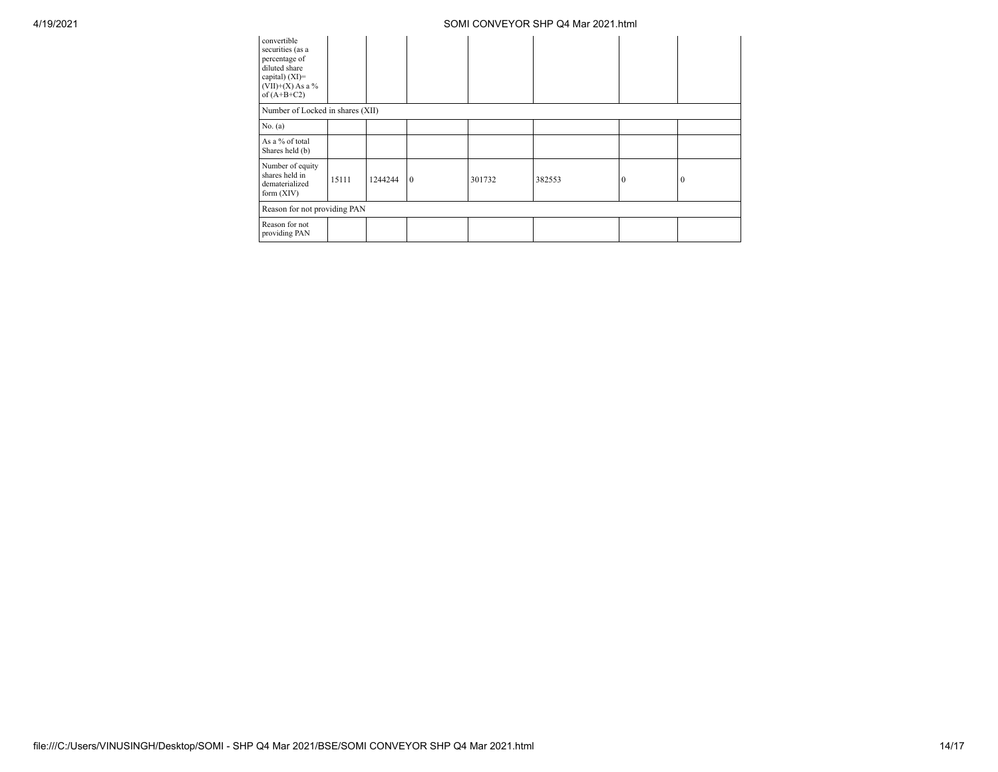| convertible<br>securities (as a<br>percentage of<br>diluted share<br>capital) $(XI)=$<br>$(VII)+(X)$ As a %<br>of $(A+B+C2)$ |                                  |         |              |        |        |          |          |  |  |  |  |
|------------------------------------------------------------------------------------------------------------------------------|----------------------------------|---------|--------------|--------|--------|----------|----------|--|--|--|--|
|                                                                                                                              | Number of Locked in shares (XII) |         |              |        |        |          |          |  |  |  |  |
| No. (a)                                                                                                                      |                                  |         |              |        |        |          |          |  |  |  |  |
| As a % of total<br>Shares held (b)                                                                                           |                                  |         |              |        |        |          |          |  |  |  |  |
| Number of equity<br>shares held in<br>dematerialized<br>form $(XIV)$                                                         | 15111                            | 1244244 | $\mathbf{0}$ | 301732 | 382553 | $\theta$ | $\bf{0}$ |  |  |  |  |
| Reason for not providing PAN                                                                                                 |                                  |         |              |        |        |          |          |  |  |  |  |
| Reason for not<br>providing PAN                                                                                              |                                  |         |              |        |        |          |          |  |  |  |  |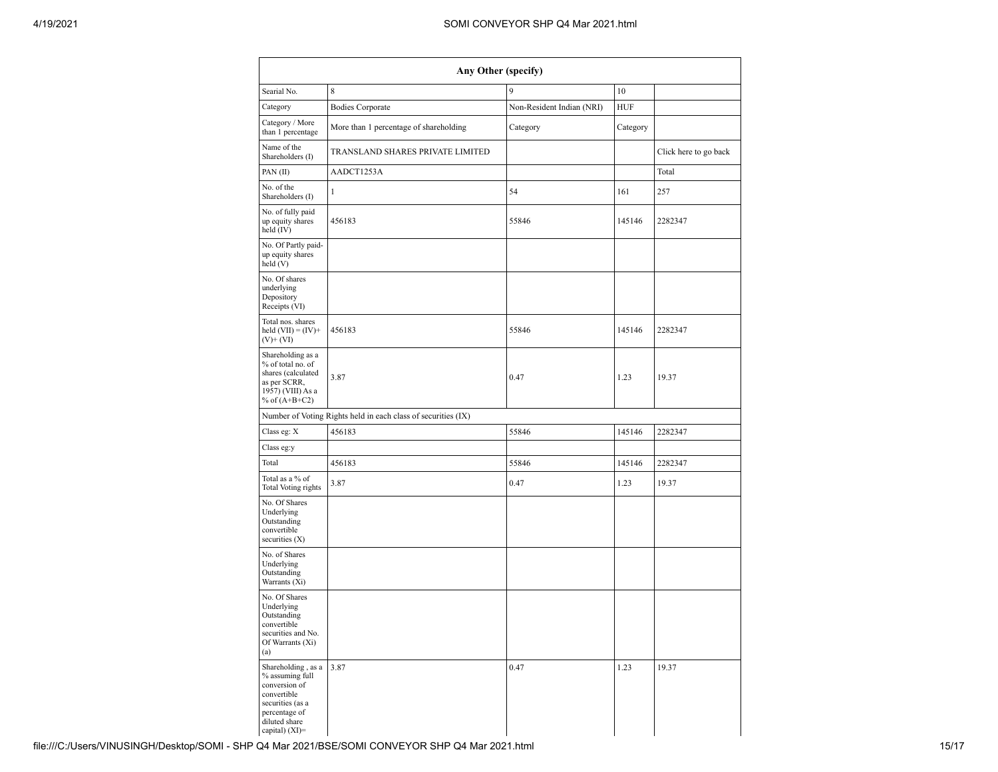| Any Other (specify)                                                                                                                           |                                                               |                           |            |                       |  |  |  |  |  |  |  |
|-----------------------------------------------------------------------------------------------------------------------------------------------|---------------------------------------------------------------|---------------------------|------------|-----------------------|--|--|--|--|--|--|--|
| Searial No.                                                                                                                                   | 8                                                             | 9                         | 10         |                       |  |  |  |  |  |  |  |
| Category                                                                                                                                      | <b>Bodies Corporate</b>                                       | Non-Resident Indian (NRI) | <b>HUF</b> |                       |  |  |  |  |  |  |  |
| Category / More<br>than 1 percentage                                                                                                          | More than 1 percentage of shareholding                        | Category                  | Category   |                       |  |  |  |  |  |  |  |
| Name of the<br>Shareholders (I)                                                                                                               | TRANSLAND SHARES PRIVATE LIMITED                              |                           |            | Click here to go back |  |  |  |  |  |  |  |
| PAN(II)                                                                                                                                       | AADCT1253A                                                    |                           |            | Total                 |  |  |  |  |  |  |  |
| No. of the<br>Shareholders (I)                                                                                                                | $\mathbf{1}$                                                  | 54                        | 161        | 257                   |  |  |  |  |  |  |  |
| No. of fully paid<br>up equity shares<br>held (IV)                                                                                            | 456183                                                        | 55846                     | 145146     | 2282347               |  |  |  |  |  |  |  |
| No. Of Partly paid-<br>up equity shares<br>held (V)                                                                                           |                                                               |                           |            |                       |  |  |  |  |  |  |  |
| No. Of shares<br>underlying<br>Depository<br>Receipts (VI)                                                                                    |                                                               |                           |            |                       |  |  |  |  |  |  |  |
| Total nos. shares<br>held $(VII) = (IV) +$<br>$(V)$ + $(VI)$                                                                                  | 456183                                                        | 55846                     | 145146     | 2282347               |  |  |  |  |  |  |  |
| Shareholding as a<br>% of total no. of<br>shares (calculated<br>as per SCRR,<br>1957) (VIII) As a<br>% of $(A+B+C2)$                          | 3.87                                                          | 0.47                      | 1.23       | 19.37                 |  |  |  |  |  |  |  |
|                                                                                                                                               | Number of Voting Rights held in each class of securities (IX) |                           |            |                       |  |  |  |  |  |  |  |
| Class eg: X                                                                                                                                   | 456183                                                        | 55846                     | 145146     | 2282347               |  |  |  |  |  |  |  |
| Class eg:y                                                                                                                                    |                                                               |                           |            |                       |  |  |  |  |  |  |  |
| Total                                                                                                                                         | 456183                                                        | 55846                     | 145146     | 2282347               |  |  |  |  |  |  |  |
| Total as a % of<br>Total Voting rights                                                                                                        | 3.87                                                          | 0.47                      | 1.23       | 19.37                 |  |  |  |  |  |  |  |
| No. Of Shares<br>Underlying<br>Outstanding<br>convertible<br>securities $(X)$                                                                 |                                                               |                           |            |                       |  |  |  |  |  |  |  |
| No. of Shares<br>Underlying<br>Outstanding<br>Warrants (Xi)                                                                                   |                                                               |                           |            |                       |  |  |  |  |  |  |  |
| No. Of Shares<br>Underlying<br>Outstanding<br>convertible<br>securities and No.<br>Of Warrants (Xi)<br>(a)                                    |                                                               |                           |            |                       |  |  |  |  |  |  |  |
| Shareholding, as a<br>% assuming full<br>conversion of<br>convertible<br>securities (as a<br>percentage of<br>diluted share<br>capital) (XI)= | 3.87                                                          | 0.47                      | 1.23       | 19.37                 |  |  |  |  |  |  |  |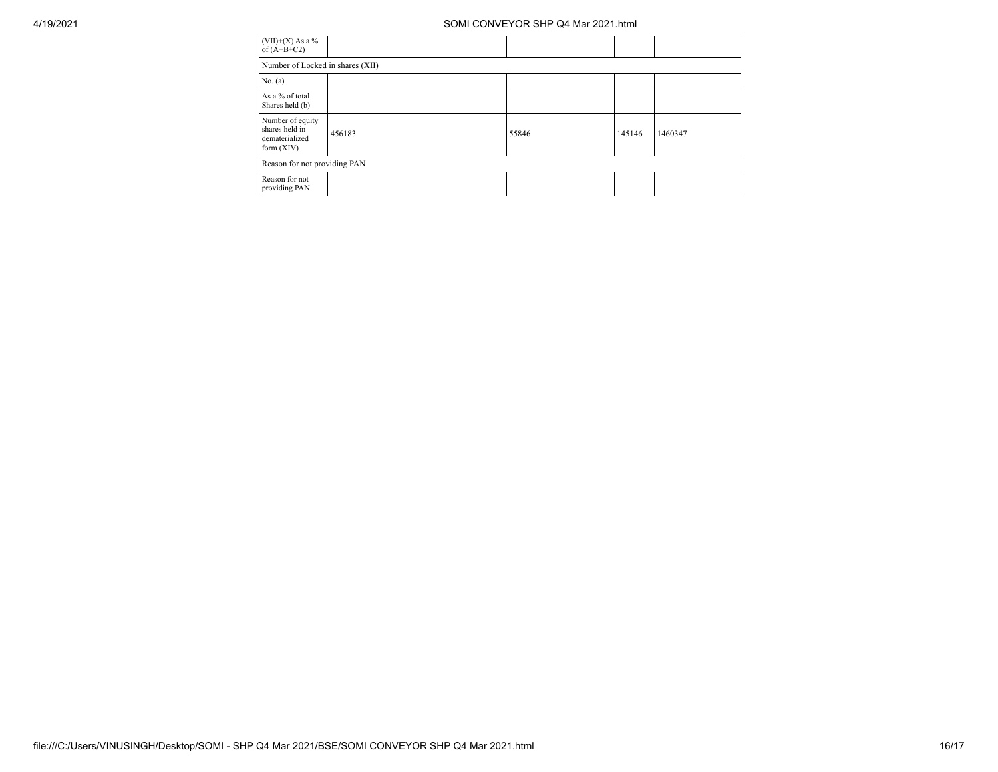| $(VII)+(X)$ As a %<br>of $(A+B+C2)$                                  |        |       |        |         |  |  |  |  |  |  |  |
|----------------------------------------------------------------------|--------|-------|--------|---------|--|--|--|--|--|--|--|
| Number of Locked in shares (XII)                                     |        |       |        |         |  |  |  |  |  |  |  |
| No. (a)                                                              |        |       |        |         |  |  |  |  |  |  |  |
| As a % of total<br>Shares held (b)                                   |        |       |        |         |  |  |  |  |  |  |  |
| Number of equity<br>shares held in<br>dematerialized<br>form $(XIV)$ | 456183 | 55846 | 145146 | 1460347 |  |  |  |  |  |  |  |
| Reason for not providing PAN                                         |        |       |        |         |  |  |  |  |  |  |  |
| Reason for not<br>providing PAN                                      |        |       |        |         |  |  |  |  |  |  |  |